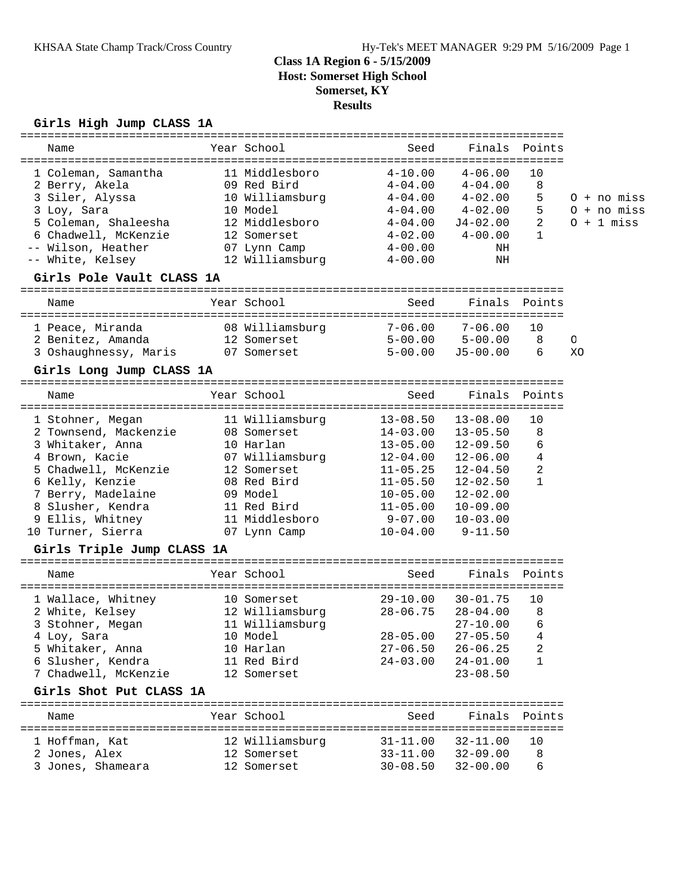# **Class 1A Region 6 - 5/15/2009 Host: Somerset High School Somerset, KY**

#### **Results**

#### **Girls High Jump CLASS 1A**

| Name                                                                                                                                                                                                                       | Year School                                                                                            | Seed                                                                                                                                                                                        |                                                                                                                                             | Finals Points                                       |         |                                                |
|----------------------------------------------------------------------------------------------------------------------------------------------------------------------------------------------------------------------------|--------------------------------------------------------------------------------------------------------|---------------------------------------------------------------------------------------------------------------------------------------------------------------------------------------------|---------------------------------------------------------------------------------------------------------------------------------------------|-----------------------------------------------------|---------|------------------------------------------------|
| 1 Coleman, Samantha<br>2 Berry, Akela<br>3 Siler, Alyssa 10 Williamsburg 4-04.00 4-02.00<br>3 Loy, Sara<br>5 102, bara<br>5 Coleman, Shaleesha<br>6 Chadwell, McKenzie<br>-- Wilson, Heather<br>-- White, Kelsey           | 11 Middlesboro<br>09 Red Bird<br>10 Model<br>12 Middl<br>12 Middlesboro<br>12 Somerset<br>07 Lynn Camp | $4-10.00$ $4-06.00$<br>4-00.00<br>12 Williamsburg 4-00.00                                                                                                                                   | $4-04.00$ $4-04.00$<br>$4-04.00$ $4-02.00$<br>$4-04.00$ $J4-02.00$<br>$4-02.00$ $4-00.00$<br>NH<br>ΝH                                       | 10<br>8<br>5<br>5<br>$\overline{a}$<br>$\mathbf{1}$ |         | $0 + no$ miss<br>$0 + no$ miss<br>$0 + 1$ miss |
| Girls Pole Vault CLASS 1A                                                                                                                                                                                                  |                                                                                                        |                                                                                                                                                                                             |                                                                                                                                             |                                                     |         |                                                |
| Name                                                                                                                                                                                                                       | Year School                                                                                            | Seed                                                                                                                                                                                        |                                                                                                                                             | Finals Points                                       |         |                                                |
| 1 Peace, Miranda<br>2 Benitez, Amanda 12 Somerset<br>3 Oshaughnessy, Maris 07 Somerset                                                                                                                                     | 08 Williamsburg                                                                                        | $7 - 06.00$<br>$5 - 00.00$                                                                                                                                                                  | $7 - 06.00$<br>$5 - 00.00$ $5 - 00.00$<br>$J5 - 00.00$                                                                                      | 10<br>8<br>6                                        | O<br>XO |                                                |
| Girls Long Jump CLASS 1A                                                                                                                                                                                                   |                                                                                                        |                                                                                                                                                                                             |                                                                                                                                             |                                                     |         |                                                |
| Name                                                                                                                                                                                                                       | Year School                                                                                            | Seed                                                                                                                                                                                        | Finals                                                                                                                                      | Points                                              |         |                                                |
| 1 Stohner, Megan<br>2 Townsend, Mackenzie 08 Somerset<br>3 Whitaker, Anna<br>4 Brown, Kacie<br>5 Chadwell, McKenzie<br>6 Kelly, Kenzie<br>7 Berry, Madelaine<br>8 Slusher, Kendra<br>9 Ellis, Whitney<br>10 Turner, Sierra | 10 Harlan<br>08 Red Bird<br>09 Model<br>11 Red Bird<br>11 Middlesboro<br>07 Lynn Camp                  | 11 Williamsburg 13-08.50<br>$14 - 03.00$<br>$13 - 05.00$<br>07 Williamsburg 12-04.00<br>12 Somerset 11-05.25<br>$11 - 05.50$<br>$10 - 05.00$<br>$11 - 05.00$<br>$9 - 07.00$<br>$10 - 04.00$ | $13 - 08.00$<br>13-05.50<br>12-09.50<br>12-06.00<br>$12 - 04.50$<br>12-02.50<br>$12 - 02.00$<br>$10 - 09.00$<br>$10 - 03.00$<br>$9 - 11.50$ | 10<br>8<br>6<br>4<br>2<br>$\mathbf{1}$              |         |                                                |
| Girls Triple Jump CLASS 1A                                                                                                                                                                                                 |                                                                                                        |                                                                                                                                                                                             |                                                                                                                                             |                                                     |         |                                                |
| Name                                                                                                                                                                                                                       | Year School                                                                                            | Seed                                                                                                                                                                                        |                                                                                                                                             | Finals Points                                       |         |                                                |
| 1 Wallace, Whitney 10 Somerset<br>2 White, Kelsey 12 Williamsburg 28-06.75<br>3 Stohner, Megan<br>4 Loy, Sara<br>5 Whitaker, Anna<br>6 Slusher, Kendra<br>7 Chadwell, McKenzie                                             | 11 Williamsburg<br>10 Model<br>10 Harlan<br>11 Red Bird<br>12 Somerset                                 | $29 - 10.00$<br>$27 - 06.50$<br>$24 - 03.00$                                                                                                                                                | $30 - 01.75$<br>$28 - 04.00$<br>$27 - 10.00$<br>28-05.00 27-05.50 4<br>$26 - 06.25$<br>$24 - 01.00$<br>$23 - 08.50$                         | 10<br>8<br>6<br>2<br>1                              |         |                                                |
| Girls Shot Put CLASS 1A                                                                                                                                                                                                    |                                                                                                        |                                                                                                                                                                                             |                                                                                                                                             |                                                     |         |                                                |
| Name                                                                                                                                                                                                                       | Year School                                                                                            | Seed                                                                                                                                                                                        | Finals                                                                                                                                      | Points                                              |         |                                                |
| 1 Hoffman, Kat<br>2 Jones, Alex<br>3 Jones, Shameara                                                                                                                                                                       | 12 Williamsburg<br>12 Somerset<br>12 Somerset                                                          | $31 - 11.00$<br>$33 - 11.00$<br>$30 - 08.50$                                                                                                                                                | $32 - 11.00$<br>$32 - 09.00$<br>$32 - 00.00$                                                                                                | 10<br>8<br>6                                        |         |                                                |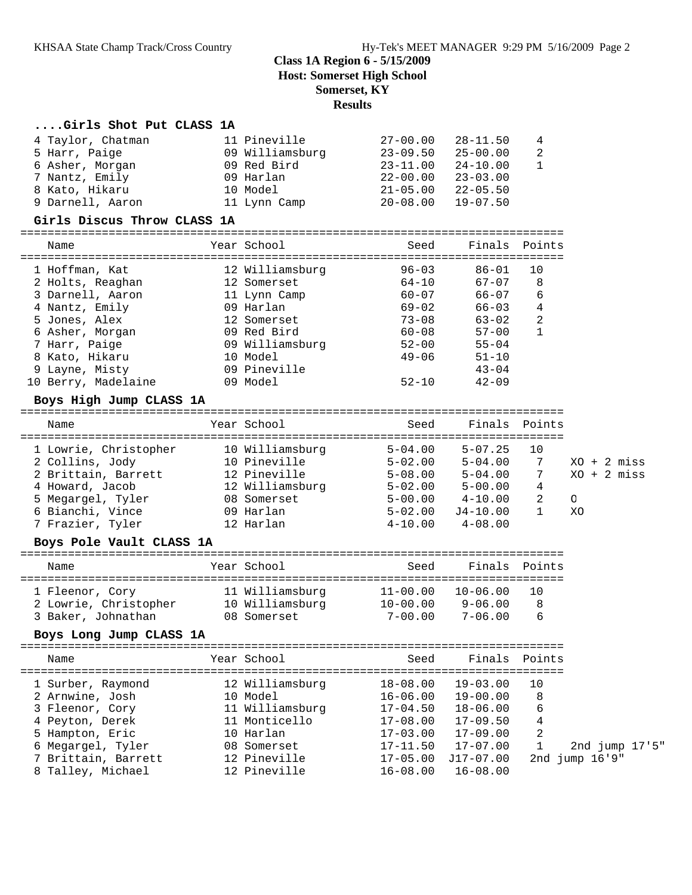#### **Class 1A Region 6 - 5/15/2009 Host: Somerset High School Somerset, KY Results**

# **....Girls Shot Put CLASS 1A**

| 4 Taylor, Chatman                     | 11 Pineville    | $27 - 00.00$ | $28 - 11.50$                                               | 4              |                       |
|---------------------------------------|-----------------|--------------|------------------------------------------------------------|----------------|-----------------------|
| 5 Harr, Paige                         | 09 Williamsburg | $23 - 09.50$ | $25 - 00.00$                                               | 2              |                       |
| 6 Asher, Morgan                       | 09 Red Bird     | $23 - 11.00$ | $24 - 10.00$                                               | $\mathbf{1}$   |                       |
| 7 Nantz, Emily                        | 09 Harlan       | 22-00.00     | $23 - 03.00$                                               |                |                       |
| 8 Kato, Hikaru                        | 10 Model        | $21 - 05.00$ | 22-05.50                                                   |                |                       |
| 9 Darnell, Aaron                      | 11 Lynn Camp    | $20 - 08.00$ | $19 - 07.50$                                               |                |                       |
| Girls Discus Throw CLASS 1A           |                 |              |                                                            |                |                       |
| Name                                  | Year School     | Seed         | Finals                                                     | Points         |                       |
|                                       |                 |              |                                                            |                |                       |
| 1 Hoffman, Kat                        | 12 Williamsburg | $96 - 03$    | $86 - 01$                                                  | 10             |                       |
| 2 Holts, Reaghan                      | 12 Somerset     | $64 - 10$    | $67 - 07$                                                  | 8              |                       |
| 3 Darnell, Aaron                      | 11 Lynn Camp    | $60 - 07$    | 66-07                                                      | 6              |                       |
| 4 Nantz, Emily                        | 09 Harlan       | 69-02        | 66-03                                                      | 4              |                       |
| 5 Jones, Alex                         | 12 Somerset     | $73 - 08$    | 63-02                                                      | 2              |                       |
| 6 Asher, Morgan                       | 09 Red Bird     | $60 - 08$    | $57 - 00$                                                  | $\mathbf{1}$   |                       |
| 7 Harr, Paige                         | 09 Williamsburg | $52 - 00$    | $55 - 04$                                                  |                |                       |
| 8 Kato, Hikaru                        | 10 Model        | $49 - 06$    | $51 - 10$                                                  |                |                       |
| 9 Layne, Misty                        | 09 Pineville    |              | $43 - 04$                                                  |                |                       |
| 10 Berry, Madelaine                   | 09 Model        | $52 - 10$    | $42 - 09$                                                  |                |                       |
| Boys High Jump CLASS 1A               |                 |              |                                                            |                |                       |
|                                       |                 |              |                                                            |                |                       |
| Name                                  | Year School     | Seed         | Finals Points                                              |                |                       |
| 1 Lowrie, Christopher 10 Williamsburg |                 | $5 - 04.00$  | $5 - 07.25$                                                | 10             |                       |
| 2 Collins, Jody                       | 10 Pineville    | $5 - 02.00$  | $5 - 04.00$                                                | 7              | $XO + 2 \text{ miss}$ |
| 2 Brittain, Barrett                   | 12 Pineville    |              |                                                            | 7              | $XO + 2 \text{miss}$  |
| 4 Howard, Jacob                       | 12 Williamsburg |              | $5-08.00$<br>$5-02.00$<br>$5-00.00$<br>$4-10.00$<br>$5-00$ | 4              |                       |
| 5 Megargel, Tyler                     | 08 Somerset     |              |                                                            | $\overline{a}$ | $\circ$               |
| 6 Bianchi, Vince                      | 09 Harlan       | $5 - 02.00$  | $J4-10.00$                                                 | $\mathbf{1}$   | XO                    |
| 7 Frazier, Tyler                      | 12 Harlan       | $4 - 10.00$  | $4 - 08.00$                                                |                |                       |
| Boys Pole Vault CLASS 1A              |                 |              |                                                            |                |                       |
|                                       |                 |              |                                                            |                |                       |
| Name                                  | Year School     | Seed         | Finals Points                                              |                |                       |
| 1 Fleenor, Cory                       | 11 Williamsburg | $11 - 00.00$ | 10-06.00                                                   | 10             |                       |
| 2 Lowrie, Christopher 10 Williamsburg |                 |              | $10-00.00$ $9-06.00$                                       | 8              |                       |
| 3 Baker, Johnathan                    | 08 Somerset     | 7-00.00      | $7 - 06.00$                                                | 6              |                       |
| Boys Long Jump CLASS 1A               |                 |              |                                                            |                |                       |
| Name                                  | Year School     | Seed         | Finals                                                     | Points         |                       |
|                                       |                 |              |                                                            |                |                       |
| 1 Surber, Raymond                     | 12 Williamsburg | $18 - 08.00$ | $19 - 03.00$                                               | 10             |                       |
| 2 Arnwine, Josh                       | 10 Model        | $16 - 06.00$ | $19 - 00.00$                                               | 8              |                       |
| 3 Fleenor, Cory                       | 11 Williamsburg | $17 - 04.50$ | $18 - 06.00$                                               | 6              |                       |
| 4 Peyton, Derek                       | 11 Monticello   | $17 - 08.00$ | $17 - 09.50$                                               | 4              |                       |
| 5 Hampton, Eric                       | 10 Harlan       | $17 - 03.00$ | $17 - 09.00$                                               | $\overline{c}$ |                       |
| 6 Megargel, Tyler                     | 08 Somerset     | $17 - 11.50$ | $17 - 07.00$                                               | 1              | 2nd jump 17'5"        |
| 7 Brittain, Barrett                   | 12 Pineville    | $17 - 05.00$ | J17-07.00                                                  |                | 2nd jump 16'9"        |
| 8 Talley, Michael                     | 12 Pineville    | $16 - 08.00$ | $16 - 08.00$                                               |                |                       |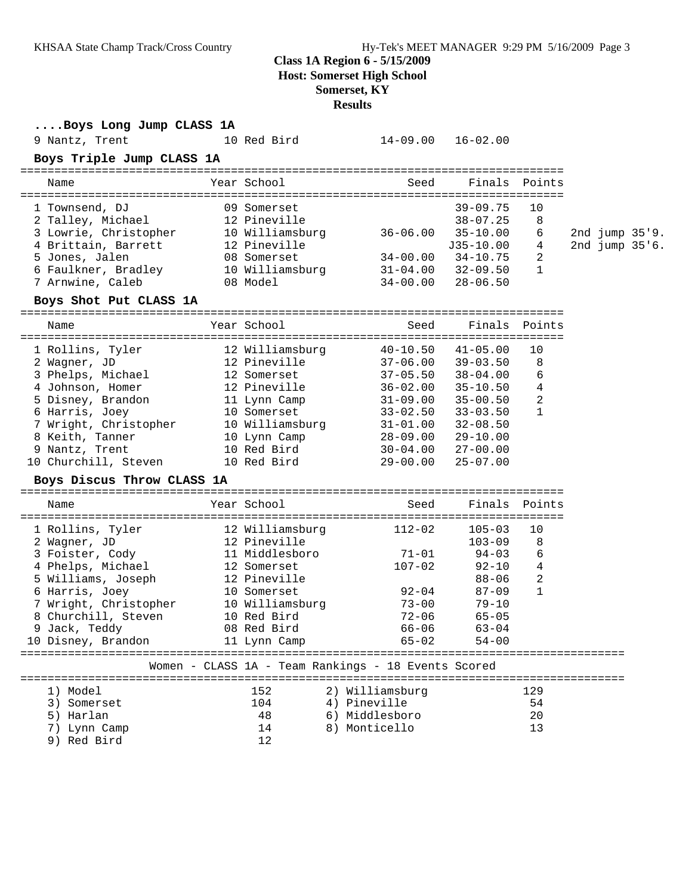# **Class 1A Region 6 - 5/15/2009**

**Host: Somerset High School**

### **Somerset, KY**

**Results**

| Boys Long Jump CLASS 1A                                                            |                                                     |                           |                           |              |  |                |
|------------------------------------------------------------------------------------|-----------------------------------------------------|---------------------------|---------------------------|--------------|--|----------------|
| 9 Nantz, Trent                                                                     | 10 Red Bird                                         | $14-09.00$ $16-02.00$     |                           |              |  |                |
| Boys Triple Jump CLASS 1A                                                          |                                                     |                           |                           |              |  |                |
| Name                                                                               | Year School                                         | Seed                      | Finals Points             |              |  |                |
| 1 Townsend, DJ                                                                     | 09 Somerset                                         |                           | $39 - 09.75$              | 10           |  |                |
| 2 Talley, Michael                                                                  | 12 Pineville                                        |                           | $38 - 07.25$              | 8            |  |                |
| 3 Lowrie, Christopher                                                              | 10 Williamsburg 36-06.00                            |                           | $35 - 10.00$              | 6            |  | 2nd jump 35'9. |
| 4 Brittain, Barrett                                                                | 12 Pineville                                        |                           | J35-10.00                 | 4            |  | 2nd jump 35'6. |
| 5 Jones, Jalen                                                                     | 08 Somerset                                         | $34-00.00$ $34-10.75$     |                           | 2            |  |                |
| 3 Jones, Janen<br>6 Faulkner, Bradley 10 Williamsburg<br>7 Arnwine, Caleb 08 Model |                                                     | $31 - 04.00$ $32 - 09.50$ |                           | $\mathbf{1}$ |  |                |
|                                                                                    |                                                     |                           | $34-00.00$ $28-06.50$     |              |  |                |
| Boys Shot Put CLASS 1A                                                             |                                                     |                           |                           |              |  |                |
| Name                                                                               | Year School                                         | Seed                      | Finals Points             |              |  |                |
| 1 Rollins, Tyler 12 Williamsburg                                                   |                                                     |                           | $40 - 10.50$ $41 - 05.00$ | 10           |  |                |
| 2 Wagner, JD                                                                       | 12 Pineville 37-06.00 39-03.50                      |                           |                           | 8            |  |                |
| 3 Phelps, Michael 12 Somerset 37-05.50                                             |                                                     |                           | 38-04.00                  | 6            |  |                |
| 4 Johnson, Homer                                                                   | 12 Pineville                                        | $36 - 02.00$              | $35 - 10.50$              | 4            |  |                |
| 5 Disney, Brandon                                                                  | 11 Lynn Camp                                        | $31 - 09.00$ $35 - 00.50$ |                           | 2            |  |                |
| 6 Harris, Joey                                                                     | 10 Somerset                                         |                           | $33 - 02.50$ $33 - 03.50$ | 1            |  |                |
| 7 Wright, Christopher 10 Williamsburg 31-01.00 32-08.50                            |                                                     |                           |                           |              |  |                |
| 8 Keith, Tanner                                                                    | 10 Lynn Camp 28-09.00 29-10.00                      |                           |                           |              |  |                |
| 9 Nantz, Trent                                                                     | 10 Red Bird                                         |                           | $30 - 04.00$ $27 - 00.00$ |              |  |                |
| 10 Churchill, Steven 10 Red Bird                                                   |                                                     | 29-00.00                  | $25 - 07.00$              |              |  |                |
| Boys Discus Throw CLASS 1A                                                         |                                                     |                           |                           |              |  |                |
| Name                                                                               | Year School                                         | Seed                      | Finals                    | Points       |  |                |
| 1 Rollins, Tyler 12 Williamsburg                                                   |                                                     | $112 - 02$                | $105 - 03$                | 10           |  |                |
| 2 Wagner, JD                                                                       | 12 Pineville                                        |                           | $103 - 09$                | 8            |  |                |
| 3 Foister, Cody                                                                    | 11 Middlesboro                                      | $71 - 01$                 | $94 - 03$                 | 6            |  |                |
| 4 Phelps, Michael                                                                  | 12 Somerset                                         | $107 - 02$                | 92-10                     | 4            |  |                |
| 5 Williams, Joseph                                                                 | 12 Pineville                                        |                           | 88-06                     | 2            |  |                |
| 6 Harris, Joey                                                                     | 10 Somerset                                         | $92 - 04$                 | $87 - 09$                 | $\mathbf{1}$ |  |                |
| 7 Wright, Christopher                                                              | 10 Williamsburg                                     | $73 - 00$                 | $79 - 10$                 |              |  |                |
| 8 Churchill, Steven 10 Red Bird                                                    |                                                     | $72 - 06$                 | $65 - 05$                 |              |  |                |
| 9 Jack, Teddy                                                                      | 08 Red Bird                                         | 66-06                     | $63 - 04$                 |              |  |                |
| 10 Disney, Brandon                                                                 | 11 Lynn Camp                                        | $65 - 02$                 | $54 - 00$                 |              |  |                |
|                                                                                    | Women - CLASS 1A - Team Rankings - 18 Events Scored |                           |                           |              |  |                |
| 1) Model                                                                           | 152                                                 | 2) Williamsburg           |                           | 129          |  |                |
| 3) Somerset                                                                        | 104                                                 | 4) Pineville              |                           | 54           |  |                |
| 5) Harlan                                                                          | 48                                                  | 6) Middlesboro            |                           | 20           |  |                |
| 7) Lynn Camp                                                                       | 14                                                  | 8) Monticello             |                           | 13           |  |                |
| 9) Red Bird                                                                        | 12                                                  |                           |                           |              |  |                |